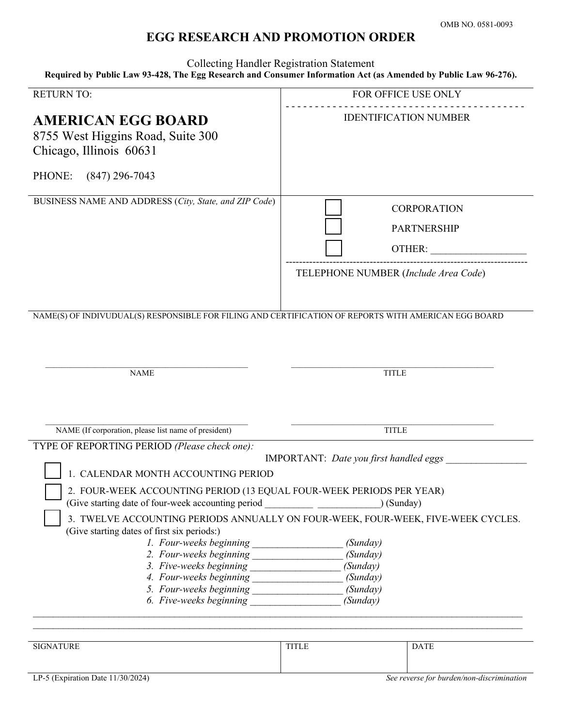## **EGG RESEARCH AND PROMOTION ORDER**

Collecting Handler Registration Statement **Required by Public Law 93-428, The Egg Research and Consumer Information Act (as Amended by Public Law 96-276).** 

| <b>RETURN TO:</b>                                                                                                                                                                                                                                                                                                                                                                                                                                                                                                      | FOR OFFICE USE ONLY                                                                        |
|------------------------------------------------------------------------------------------------------------------------------------------------------------------------------------------------------------------------------------------------------------------------------------------------------------------------------------------------------------------------------------------------------------------------------------------------------------------------------------------------------------------------|--------------------------------------------------------------------------------------------|
| <b>AMERICAN EGG BOARD</b><br>8755 West Higgins Road, Suite 300<br>Chicago, Illinois 60631                                                                                                                                                                                                                                                                                                                                                                                                                              | <b>IDENTIFICATION NUMBER</b>                                                               |
| PHONE:<br>$(847)$ 296-7043                                                                                                                                                                                                                                                                                                                                                                                                                                                                                             |                                                                                            |
| BUSINESS NAME AND ADDRESS (City, State, and ZIP Code)                                                                                                                                                                                                                                                                                                                                                                                                                                                                  | <b>CORPORATION</b><br><b>PARTNERSHIP</b><br>OTHER:<br>TELEPHONE NUMBER (Include Area Code) |
| NAME(S) OF INDIVUDUAL(S) RESPONSIBLE FOR FILING AND CERTIFICATION OF REPORTS WITH AMERICAN EGG BOARD                                                                                                                                                                                                                                                                                                                                                                                                                   |                                                                                            |
| <b>NAME</b>                                                                                                                                                                                                                                                                                                                                                                                                                                                                                                            | <b>TITLE</b>                                                                               |
| NAME (If corporation, please list name of president)                                                                                                                                                                                                                                                                                                                                                                                                                                                                   | <b>TITLE</b>                                                                               |
| TYPE OF REPORTING PERIOD (Please check one):<br><b>IMPORTANT:</b> Date you first handled eggs<br>1. CALENDAR MONTH ACCOUNTING PERIOD<br>2. FOUR-WEEK ACCOUNTING PERIOD (13 EQUAL FOUR-WEEK PERIODS PER YEAR)<br>(Give starting date of four-week accounting period<br>) (Sunday)<br>3. TWELVE ACCOUNTING PERIODS ANNUALLY ON FOUR-WEEK, FOUR-WEEK, FIVE-WEEK CYCLES.<br>(Give starting dates of first six periods:)<br>(Sunday)<br>(Sunday)<br>(Sunday)<br>(Sunday)<br>(Sunday)<br>6. Five-weeks beginning<br>(Sunday) |                                                                                            |
| <b>SIGNATURE</b>                                                                                                                                                                                                                                                                                                                                                                                                                                                                                                       | <b>DATE</b><br><b>TITLE</b>                                                                |